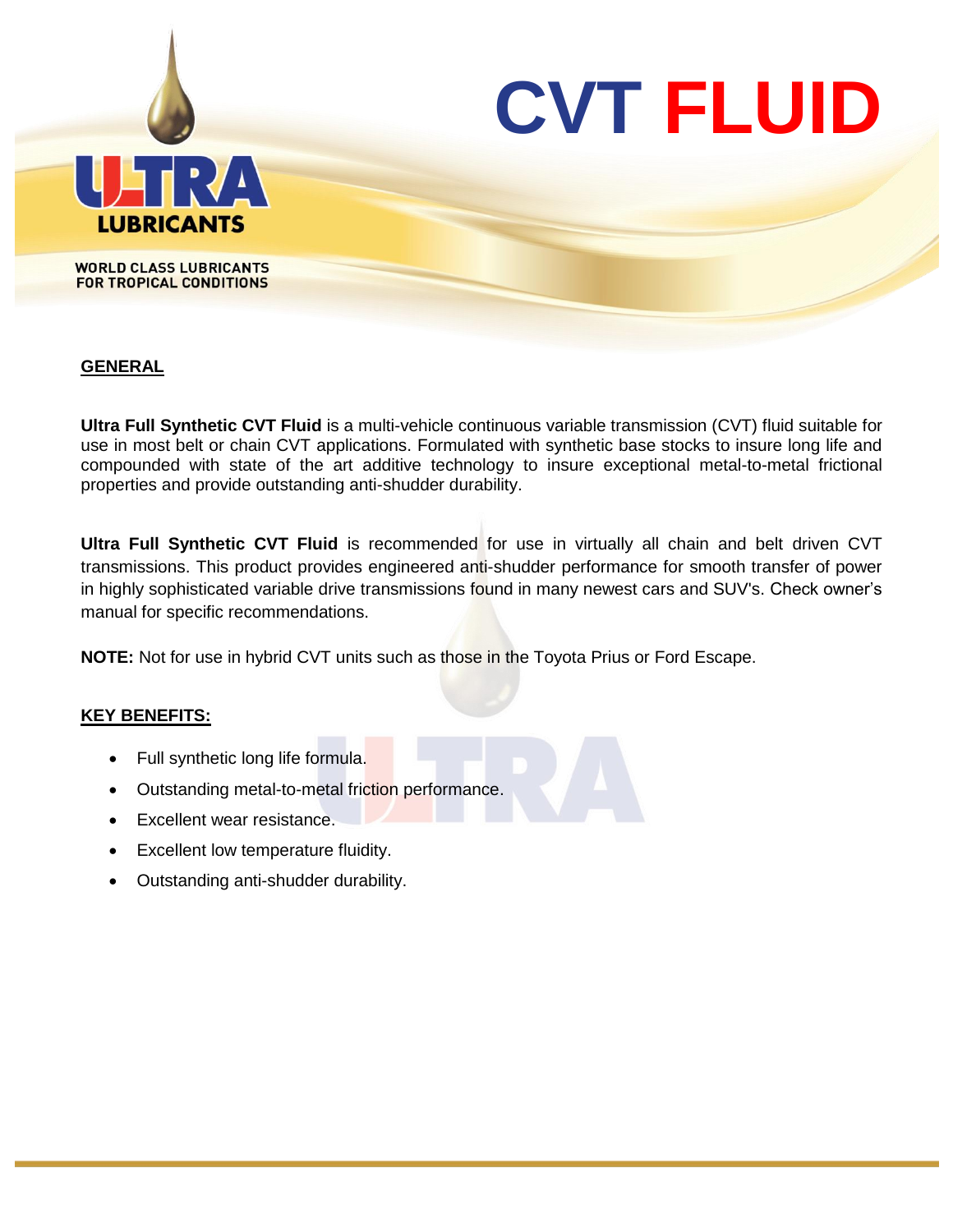

## **GENERAL**

**Ultra Full Synthetic CVT Fluid** is a multi-vehicle continuous variable transmission (CVT) fluid suitable for use in most belt or chain CVT applications. Formulated with synthetic base stocks to insure long life and compounded with state of the art additive technology to insure exceptional metal-to-metal frictional properties and provide outstanding anti-shudder durability.

**Ultra Full Synthetic CVT Fluid** is recommended for use in virtually all chain and belt driven CVT transmissions. This product provides engineered anti-shudder performance for smooth transfer of power in highly sophisticated variable drive transmissions found in many newest cars and SUV's. Check owner's manual for specific recommendations.

**NOTE:** Not for use in hybrid CVT units such as those in the Toyota Prius or Ford Escape.

#### **KEY BENEFITS:**

- Full synthetic long life formula.
- Outstanding metal-to-metal friction performance.
- Excellent wear resistance.
- Excellent low temperature fluidity.
- Outstanding anti-shudder durability.